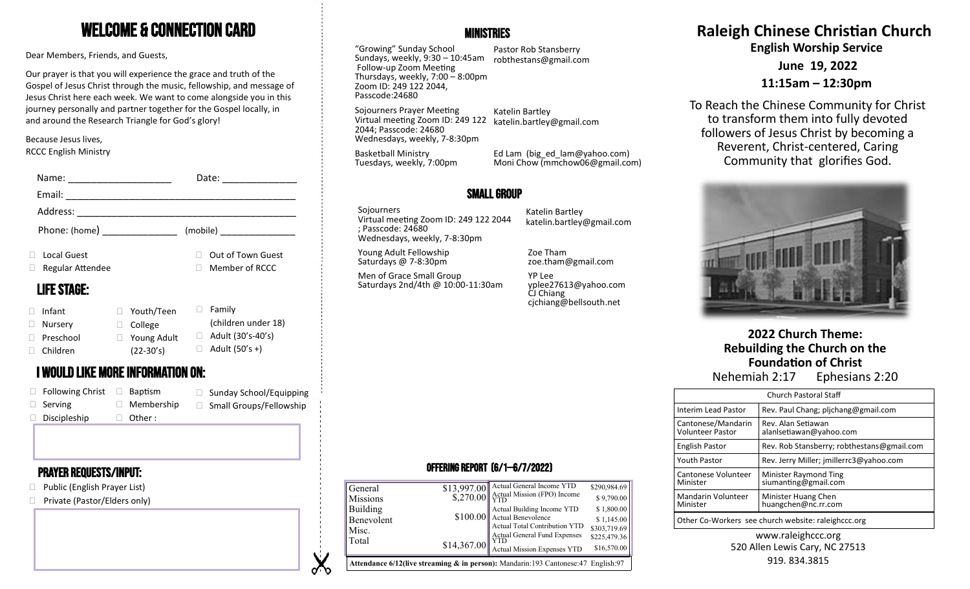## Welcome & Connection Card

Dear Members, Friends, and Guests,

Our prayer is that you will experience the grace and truth of the Gospel of Jesus Christ through the music, fellowship, and message of Jesus Christ here each week. We want to come alongside you in this journey personally and partner together for the Gospel locally, in and around the Research Triangle for God's glory!

Because Jesus lives, RCCC English Ministry

| Name:                                    | Date:                          |                                                                                            |                                                                       |                                                                |
|------------------------------------------|--------------------------------|--------------------------------------------------------------------------------------------|-----------------------------------------------------------------------|----------------------------------------------------------------|
| Email:                                   |                                | <b>SMALL GROUP</b>                                                                         |                                                                       |                                                                |
| Address:                                 |                                | Sojourners                                                                                 | Katelin Bartley                                                       |                                                                |
| Phone: (home)                            | (mobile)                       | Virtual meeting Zoom ID: 249 122 2044<br>; Passcode: 24680<br>Wednesdays, weekly, 7-8:30pm | katelin.bartley@gmail.com                                             |                                                                |
| Local Guest                              | Out of Town Guest<br>П.        | Young Adult Fellowship                                                                     | Zoe Tham                                                              |                                                                |
| Regular Attendee                         | $\Box$ Member of RCCC          | Saturdays @ 7-8:30pm                                                                       | zoe.tham@gmail.com                                                    |                                                                |
| <b>LIFE STAGE:</b>                       |                                | Men of Grace Small Group<br>Saturdays 2nd/4th @ 10:00-11:30am                              | YP Lee<br>yplee27613@yahoo.com<br>CJ Chiang<br>cjchiang@bellsouth.net |                                                                |
| □ Youth/Teen<br>Infant                   | $\Box$ Family                  |                                                                                            |                                                                       |                                                                |
| $\Box$ College<br>Nursery                | (children under 18)            |                                                                                            |                                                                       |                                                                |
| Preschool<br>$\Box$ Young Adult          | Adult (30's-40's)              |                                                                                            |                                                                       | 2022 Church Theme:                                             |
| Children<br>$(22-30's)$                  | Adult (50's +)                 |                                                                                            |                                                                       | Rebuilding the Church on the                                   |
| <b>I WOULD LIKE MORE INFORMATION ON:</b> |                                |                                                                                            |                                                                       | <b>Foundation of Christ</b><br>Ephesians 2:20<br>Nehemiah 2:17 |
| $F_0$ llowing Christ $\Box$ Rantism      | $\Box$ Sunday School/Equipping |                                                                                            |                                                                       |                                                                |

| $\Box$ Following Christ | Baptism           | □ Sunday School/Equipping      |
|-------------------------|-------------------|--------------------------------|
| $\Box$ Serving          | $\Box$ Membership | $\Box$ Small Groups/Fellowship |
| $\Box$ Discipleship     | $\Box$ Other:     |                                |

### Prayer requests/Input:

- □ Public (English Prayer List)
- □ Private (Pastor/Elders only)



"Growing" Sunday School Sundays, weekly, 9:30 – 10:45am robthestans@gmail.com Follow-up Zoom Meeting Thursdays, weekly, 7:00 – 8:00pm Zoom ID: 249 122 2044, Passcode:24680

Pastor Rob Stansberry

Sojourners Prayer Meeting

Virtual meeting Zoom ID: 249 122 2044; Passcode: 24680 Wednesdays, weekly, 7-8:30pm Katelin Bartley katelin.bartley@gmail.com

Tuesdays, weekly, 7:00pm Ed Lam (big\_ed\_lam@yahoo.com) Moni Chow (mmchow06@gmail.com)

### Small Group

**V** ৵ Basketball Ministry

# **Raleigh Chinese Christian Church**

**English Worship Service**

**June 19, 2022**

**11:15am – 12:30pm**

To Reach the Chinese Community for Christ to transform them into fully devoted followers of Jesus Christ by becoming a Reverent, Christ-centered, Caring Community that glorifies God.



| <b>Church Pastoral Staff</b>                        |                                               |  |  |  |
|-----------------------------------------------------|-----------------------------------------------|--|--|--|
| Interim Lead Pastor                                 | Rev. Paul Chang; plichang@gmail.com           |  |  |  |
| Cantonese/Mandarin<br><b>Volunteer Pastor</b>       | Rev. Alan Setiawan<br>alanlsetiawan@yahoo.com |  |  |  |
| <b>English Pastor</b>                               | Rev. Rob Stansberry; robthestans@gmail.com    |  |  |  |
| <b>Youth Pastor</b>                                 | Rev. Jerry Miller; jmillerrc3@yahoo.com       |  |  |  |
| Cantonese Volunteer<br>Minister                     | Minister Raymond Ting<br>siumanting@gmail.com |  |  |  |
| Mandarin Volunteer<br>Minister                      | Minister Huang Chen<br>huangchen@nc.rr.com    |  |  |  |
| Other Co-Workers see church website: raleighccc.org |                                               |  |  |  |

#### www.raleighccc.org 520 Allen Lewis Cary, NC 27513 919.834.3815

### Offering Report (6/1—6/7/2022)

| Building<br>Benevolent<br>Misc.<br>Total | \$14,367.00 | Actual Building Income YTD<br>$$100.00$ Actual Benevolence<br>Actual Total Contribution YTD<br>Actual General Fund Expenses<br>YTD<br>Actual Mission Expenses YTD<br><b>Attendance 6/12(live streaming &amp; in person):</b> Mandarin:193 Cantonese:47 English:97 | \$1,800.00<br>\$1,145.00<br>\$303,719.69<br>\$225,479.36<br>\$16,570.00 |
|------------------------------------------|-------------|-------------------------------------------------------------------------------------------------------------------------------------------------------------------------------------------------------------------------------------------------------------------|-------------------------------------------------------------------------|
| General                                  |             | $$13,997.00$ Actual General Income YTD                                                                                                                                                                                                                            | \$290,984.69                                                            |
| <b>Missions</b>                          |             | $\left  \frac{1}{270.00} \right  \frac{1}{100}$ Mission (FPO) Income                                                                                                                                                                                              | \$9,790.00                                                              |